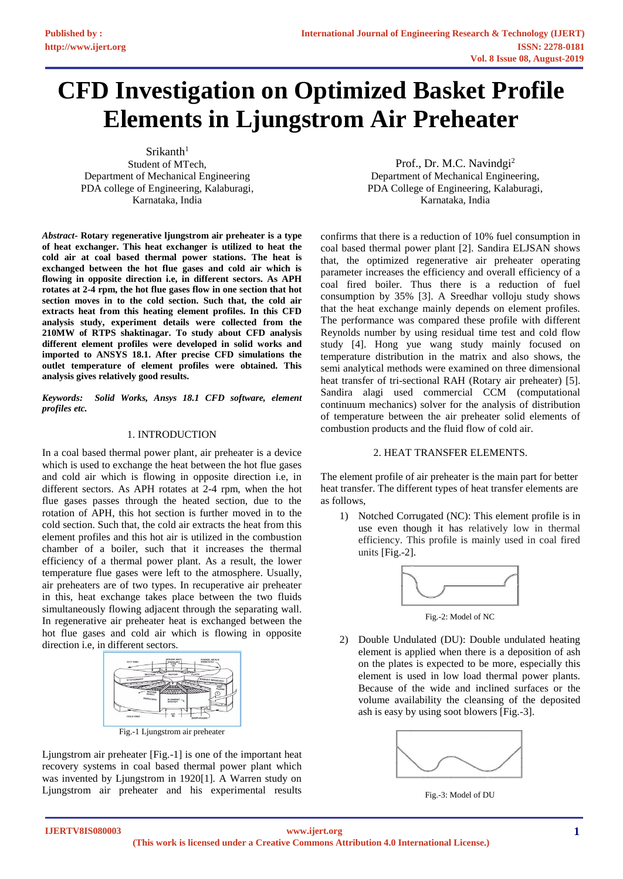# **CFD Investigation on Optimized Basket Profile Elements in Ljungstrom Air Preheater**

 $Srikanth<sup>1</sup>$ Student of MTech, Department of Mechanical Engineering PDA college of Engineering, Kalaburagi, Karnataka, India

Prof., Dr. M.C. Navindgi<sup>2</sup> Department of Mechanical Engineering, PDA College of Engineering, Kalaburagi, Karnataka, India

*Abstract***- Rotary regenerative ljungstrom air preheater is a type of heat exchanger. This heat exchanger is utilized to heat the cold air at coal based thermal power stations. The heat is exchanged between the hot flue gases and cold air which is flowing in opposite direction i.e, in different sectors. As APH rotates at 2-4 rpm, the hot flue gases flow in one section that hot section moves in to the cold section. Such that, the cold air extracts heat from this heating element profiles. In this CFD analysis study, experiment details were collected from the 210MW of RTPS shaktinagar. To study about CFD analysis different element profiles were developed in solid works and imported to ANSYS 18.1. After precise CFD simulations the outlet temperature of element profiles were obtained. This analysis gives relatively good results.**

*Keywords: Solid Works, Ansys 18.1 CFD software, element profiles etc.*

#### 1. INTRODUCTION

In a coal based thermal power plant, air preheater is a device which is used to exchange the heat between the hot flue gases and cold air which is flowing in opposite direction i.e, in different sectors. As APH rotates at 2-4 rpm, when the hot flue gases passes through the heated section, due to the rotation of APH, this hot section is further moved in to the cold section. Such that, the cold air extracts the heat from this element profiles and this hot air is utilized in the combustion chamber of a boiler, such that it increases the thermal efficiency of a thermal power plant. As a result, the lower temperature flue gases were left to the atmosphere. Usually, air preheaters are of two types. In recuperative air preheater in this, heat exchange takes place between the two fluids simultaneously flowing adjacent through the separating wall. In regenerative air preheater heat is exchanged between the hot flue gases and cold air which is flowing in opposite direction i.e, in different sectors.



Fig.-1 Ljungstrom air preheater

Ljungstrom air preheater [Fig.-1] is one of the important heat recovery systems in coal based thermal power plant which was invented by Ljungstrom in 1920[1]. A Warren study on Ljungstrom air preheater and his experimental results

confirms that there is a reduction of 10% fuel consumption in coal based thermal power plant [2]. Sandira ELJSAN shows that, the optimized regenerative air preheater operating parameter increases the efficiency and overall efficiency of a coal fired boiler. Thus there is a reduction of fuel consumption by 35% [3]. A Sreedhar volloju study shows that the heat exchange mainly depends on element profiles. The performance was compared these profile with different Reynolds number by using residual time test and cold flow study [4]. Hong yue wang study mainly focused on temperature distribution in the matrix and also shows, the semi analytical methods were examined on three dimensional heat transfer of tri-sectional RAH (Rotary air preheater) [5]. Sandira alagi used commercial CCM (computational continuum mechanics) solver for the analysis of distribution of temperature between the air preheater solid elements of combustion products and the fluid flow of cold air.

## 2. HEAT TRANSFER ELEMENTS.

The element profile of air preheater is the main part for better heat transfer. The different types of heat transfer elements are as follows,

1) Notched Corrugated (NC): This element profile is in use even though it has relatively low in thermal efficiency. This profile is mainly used in coal fired units [Fig.-2].



Fig.-2: Model of NC

2) Double Undulated (DU): Double undulated heating element is applied when there is a deposition of ash on the plates is expected to be more, especially this element is used in low load thermal power plants. Because of the wide and inclined surfaces or the volume availability the cleansing of the deposited ash is easy by using soot blowers [Fig.-3].



Fig.-3: Model of DU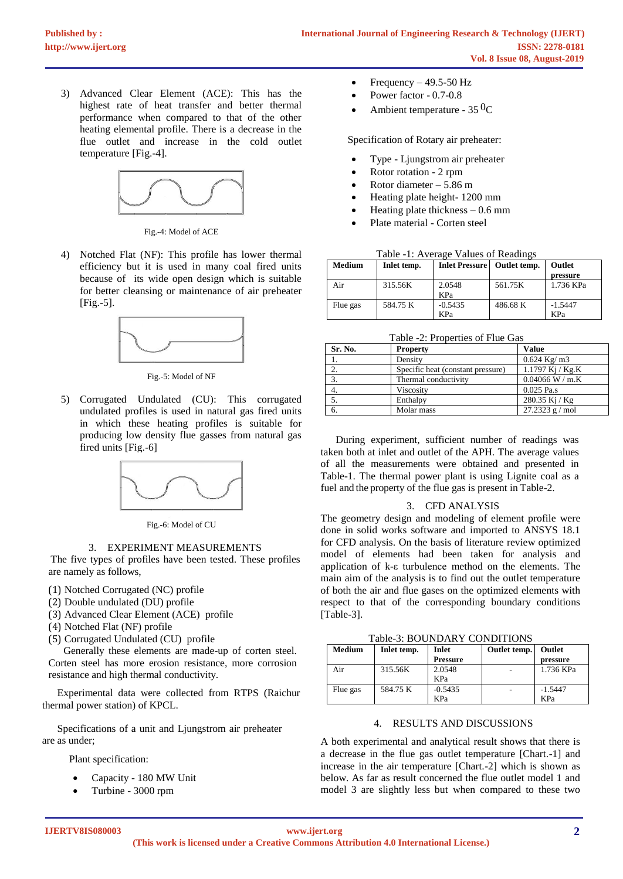3) Advanced Clear Element (ACE): This has the highest rate of heat transfer and better thermal performance when compared to that of the other heating elemental profile. There is a decrease in the flue outlet and increase in the cold outlet temperature [Fig.-4].



Fig.-4: Model of ACE

4) Notched Flat (NF): This profile has lower thermal efficiency but it is used in many coal fired units because of its wide open design which is suitable for better cleansing or maintenance of air preheater [Fig.-5].



Fig.-5: Model of NF

5) Corrugated Undulated (CU): This corrugated undulated profiles is used in natural gas fired units in which these heating profiles is suitable for producing low density flue gasses from natural gas fired units [Fig.-6]



Fig.-6: Model of CU

### 3. EXPERIMENT MEASUREMENTS

The five types of profiles have been tested. These profiles are namely as follows,

- (1) Notched Corrugated (NC) profile
- (2) Double undulated (DU) profile
- (3) Advanced Clear Element (ACE) profile
- (4) Notched Flat (NF) profile
- (5) Corrugated Undulated (CU) profile

Generally these elements are made-up of corten steel. Corten steel has more erosion resistance, more corrosion resistance and high thermal conductivity.

Experimental data were collected from RTPS (Raichur thermal power station) of KPCL.

Specifications of a unit and Ljungstrom air preheater are as under;

Plant specification:

- Capacity 180 MW Unit
- Turbine 3000 rpm

Frequency  $-49.5-50$  Hz

- Power factor 0.7-0.8
- Ambient temperature  $35^{0}C$

Specification of Rotary air preheater:

- Type Ljungstrom air preheater
- Rotor rotation 2 rpm
- Rotor diameter  $-5.86$  m
- Heating plate height- 1200 mm
- Heating plate thickness  $-0.6$  mm
- Plate material Corten steel

|  |  | Table -1: Average Values of Readings |
|--|--|--------------------------------------|
|  |  |                                      |

| <b>Medium</b> | Inlet temp. | <b>Inlet Pressure</b> | Outlet temp. | Outlet    |
|---------------|-------------|-----------------------|--------------|-----------|
|               |             |                       |              | pressure  |
| Air           | 315.56K     | 2.0548<br>KPa         | 561.75K      | 1.736 KPa |
| Flue gas      | 584.75 K    | $-0.5435$             | 486.68 K     | $-1.5447$ |
|               |             | KPa                   |              | KPa       |

Table -2: Properties of Flue Gas

| Sr. No. | <b>Property</b>                   | <b>Value</b>      |
|---------|-----------------------------------|-------------------|
|         | Density                           | $0.624$ Kg/ m3    |
|         | Specific heat (constant pressure) | 1.1797 Kj / Kg.K  |
| 3.      | Thermal conductivity              | $0.04066$ W / m.K |
| 4.      | Viscosity                         | $0.025$ Pa.s      |
| 5.      | Enthalpy                          | 280.35 Kj / Kg    |
| 6.      | Molar mass                        | $27.2323$ g / mol |

During experiment, sufficient number of readings was taken both at inlet and outlet of the APH. The average values of all the measurements were obtained and presented in Table-1. The thermal power plant is using Lignite coal as a fuel and the property of the flue gas is present in Table-2.

### 3. CFD ANALYSIS

The geometry design and modeling of element profile were done in solid works software and imported to ANSYS 18.1 for CFD analysis. On the basis of literature review optimized model of elements had been taken for analysis and application of k-ε turbulence method on the elements. The main aim of the analysis is to find out the outlet temperature of both the air and flue gases on the optimized elements with respect to that of the corresponding boundary conditions [Table-3].

Table-3: BOUNDARY CONDITIONS

| <b>Medium</b> | Inlet temp. | Inlet     | Outlet temp. | Outlet    |
|---------------|-------------|-----------|--------------|-----------|
|               |             | Pressure  |              | pressure  |
| Air           | 315.56K     | 2.0548    |              | 1.736 KPa |
|               |             | KPa       |              |           |
| Flue gas      | 584.75 K    | $-0.5435$ |              | $-1.5447$ |
|               |             | KPa       |              | KPa       |

### 4. RESULTS AND DISCUSSIONS

A both experimental and analytical result shows that there is a decrease in the flue gas outlet temperature [Chart.-1] and increase in the air temperature [Chart.-2] which is shown as below. As far as result concerned the flue outlet model 1 and model 3 are slightly less but when compared to these two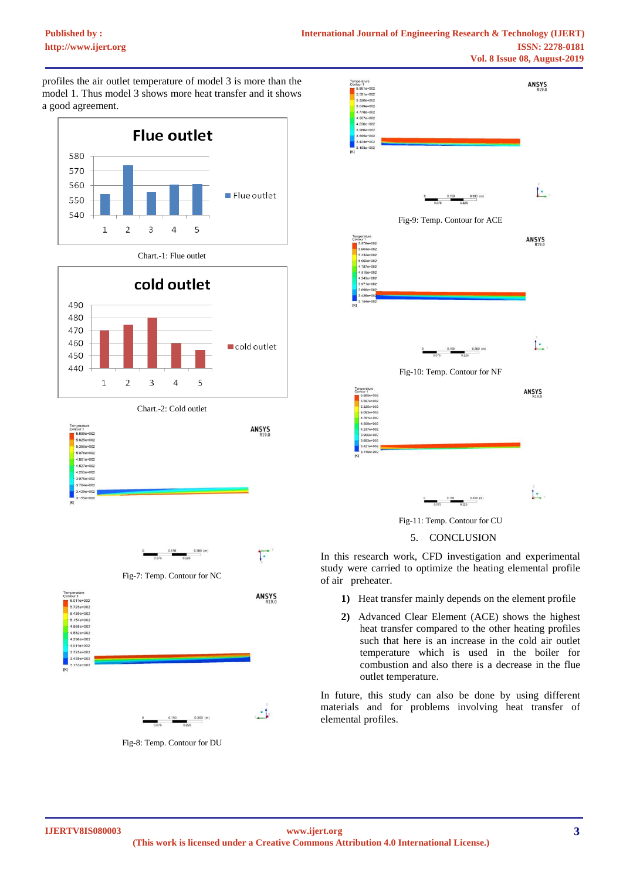profiles the air outlet temperature of model 3 is more than the model 1. Thus model 3 shows more heat transfer and it shows a good agreement.







Chart.-2: Cold outlet







Fig-8: Temp. Contour for DU



Fig-11: Temp. Contour for CU



In this research work, CFD investigation and experimental study were carried to optimize the heating elemental profile of air preheater.

- **1)** Heat transfer mainly depends on the element profile
- **2)** Advanced Clear Element (ACE) shows the highest heat transfer compared to the other heating profiles such that here is an increase in the cold air outlet temperature which is used in the boiler for combustion and also there is a decrease in the flue outlet temperature.

In future, this study can also be done by using different materials and for problems involving heat transfer of elemental profiles.